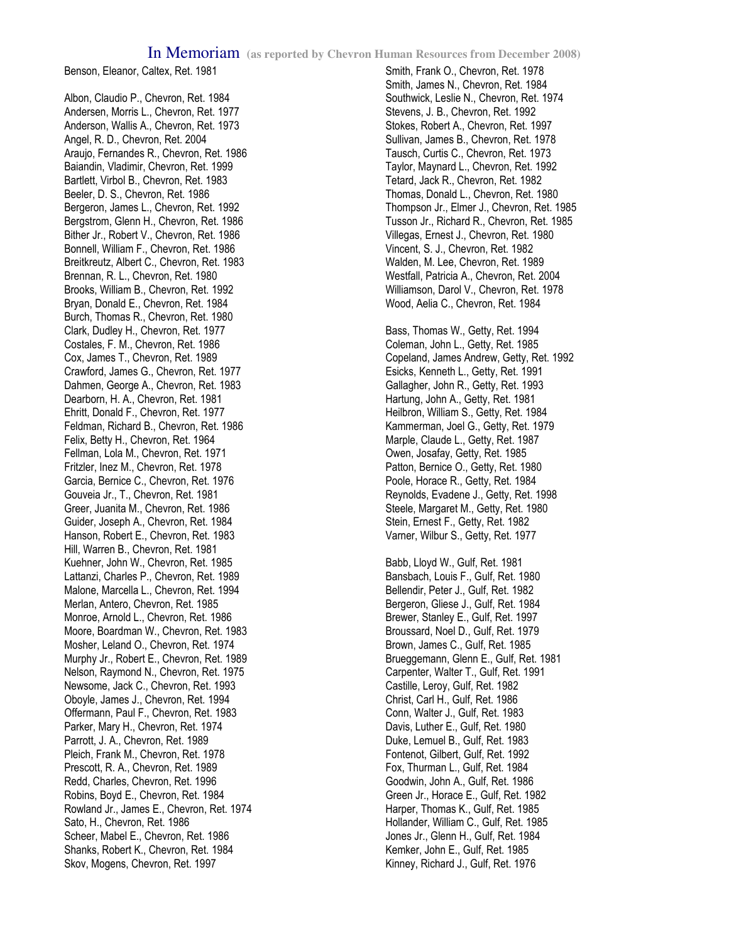## In Memoriam **(as reported by Chevron Human Resources from December 2008)**

Benson, Eleanor, Caltex, Ret. 1981

Albon, Claudio P., Chevron, Ret. 1984 Andersen, Morris L., Chevron, Ret. 1977 Anderson, Wallis A., Chevron, Ret. 1973 Angel, R. D., Chevron, Ret. 2004 Araujo, Fernandes R., Chevron, Ret. 1986 Baiandin, Vladimir, Chevron, Ret. 1999 Bartlett, Virbol B., Chevron, Ret. 1983 Beeler, D. S., Chevron, Ret. 1986 Bergeron, James L., Chevron, Ret. 1992 Bergstrom, Glenn H., Chevron, Ret. 1986 Bither Jr., Robert V., Chevron, Ret. 1986 Bonnell, William F., Chevron, Ret. 1986 Breitkreutz, Albert C., Chevron, Ret. 1983 Brennan, R. L., Chevron, Ret. 1980 Brooks, William B., Chevron, Ret. 1992 Bryan, Donald E., Chevron, Ret. 1984 Burch, Thomas R., Chevron, Ret. 1980 Clark, Dudley H., Chevron, Ret. 1977 Costales, F. M., Chevron, Ret. 1986 Cox, James T., Chevron, Ret. 1989 Crawford, James G., Chevron, Ret. 1977 Dahmen, George A., Chevron, Ret. 1983 Dearborn, H. A., Chevron, Ret. 1981 Ehritt, Donald F., Chevron, Ret. 1977 Feldman, Richard B., Chevron, Ret. 1986 Felix, Betty H., Chevron, Ret. 1964 Fellman, Lola M., Chevron, Ret. 1971 Fritzler, Inez M., Chevron, Ret. 1978 Garcia, Bernice C., Chevron, Ret. 1976 Gouveia Jr., T., Chevron, Ret. 1981 Greer, Juanita M., Chevron, Ret. 1986 Guider, Joseph A., Chevron, Ret. 1984 Hanson, Robert E., Chevron, Ret. 1983 Hill, Warren B., Chevron, Ret. 1981 Kuehner, John W., Chevron, Ret. 1985 Lattanzi, Charles P., Chevron, Ret. 1989 Malone, Marcella L., Chevron, Ret. 1994 Merlan, Antero, Chevron, Ret. 1985 Monroe, Arnold L., Chevron, Ret. 1986 Moore, Boardman W., Chevron, Ret. 1983 Mosher, Leland O., Chevron, Ret. 1974 Murphy Jr., Robert E., Chevron, Ret. 1989 Nelson, Raymond N., Chevron, Ret. 1975 Newsome, Jack C., Chevron, Ret. 1993 Oboyle, James J., Chevron, Ret. 1994 Offermann, Paul F., Chevron, Ret. 1983 Parker, Mary H., Chevron, Ret. 1974 Parrott, J. A., Chevron, Ret. 1989 Pleich, Frank M., Chevron, Ret. 1978 Prescott, R. A., Chevron, Ret. 1989 Redd, Charles, Chevron, Ret. 1996 Robins, Boyd E., Chevron, Ret. 1984 Rowland Jr., James E., Chevron, Ret. 1974 Sato, H., Chevron, Ret. 1986 Scheer, Mabel E., Chevron, Ret. 1986 Shanks, Robert K., Chevron, Ret. 1984 Skov, Mogens, Chevron, Ret. 1997

Smith, Frank O., Chevron, Ret. 1978 Smith, James N., Chevron, Ret. 1984 Southwick, Leslie N., Chevron, Ret. 1974 Stevens, J. B., Chevron, Ret. 1992 Stokes, Robert A., Chevron, Ret. 1997 Sullivan, James B., Chevron, Ret. 1978 Tausch, Curtis C., Chevron, Ret. 1973 Taylor, Maynard L., Chevron, Ret. 1992 Tetard, Jack R., Chevron, Ret. 1982 Thomas, Donald L., Chevron, Ret. 1980 Thompson Jr., Elmer J., Chevron, Ret. 1985 Tusson Jr., Richard R., Chevron, Ret. 1985 Villegas, Ernest J., Chevron, Ret. 1980 Vincent, S. J., Chevron, Ret. 1982 Walden, M. Lee, Chevron, Ret. 1989 Westfall, Patricia A., Chevron, Ret. 2004 Williamson, Darol V., Chevron, Ret. 1978 Wood, Aelia C., Chevron, Ret. 1984

Bass, Thomas W., Getty, Ret. 1994 Coleman, John L., Getty, Ret. 1985 Copeland, James Andrew, Getty, Ret. 1992 Esicks, Kenneth L., Getty, Ret. 1991 Gallagher, John R., Getty, Ret. 1993 Hartung, John A., Getty, Ret. 1981 Heilbron, William S., Getty, Ret. 1984 Kammerman, Joel G., Getty, Ret. 1979 Marple, Claude L., Getty, Ret. 1987 Owen, Josafay, Getty, Ret. 1985 Patton, Bernice O., Getty, Ret. 1980 Poole, Horace R., Getty, Ret. 1984 Reynolds, Evadene J., Getty, Ret. 1998 Steele, Margaret M., Getty, Ret. 1980 Stein, Ernest F., Getty, Ret. 1982 Varner, Wilbur S., Getty, Ret. 1977

Babb, Lloyd W., Gulf, Ret. 1981 Bansbach, Louis F., Gulf, Ret. 1980 Bellendir, Peter J., Gulf, Ret. 1982 Bergeron, Gliese J., Gulf, Ret. 1984 Brewer, Stanley E., Gulf, Ret. 1997 Broussard, Noel D., Gulf, Ret. 1979 Brown, James C., Gulf, Ret. 1985 Brueggemann, Glenn E., Gulf, Ret. 1981 Carpenter, Walter T., Gulf, Ret. 1991 Castille, Leroy, Gulf, Ret. 1982 Christ, Carl H., Gulf, Ret. 1986 Conn, Walter J., Gulf, Ret. 1983 Davis, Luther E., Gulf, Ret. 1980 Duke, Lemuel B., Gulf, Ret. 1983 Fontenot, Gilbert, Gulf, Ret. 1992 Fox, Thurman L., Gulf, Ret. 1984 Goodwin, John A., Gulf, Ret. 1986 Green Jr., Horace E., Gulf, Ret. 1982 Harper, Thomas K., Gulf, Ret. 1985 Hollander, William C., Gulf, Ret. 1985 Jones Jr., Glenn H., Gulf, Ret. 1984 Kemker, John E., Gulf, Ret. 1985 Kinney, Richard J., Gulf, Ret. 1976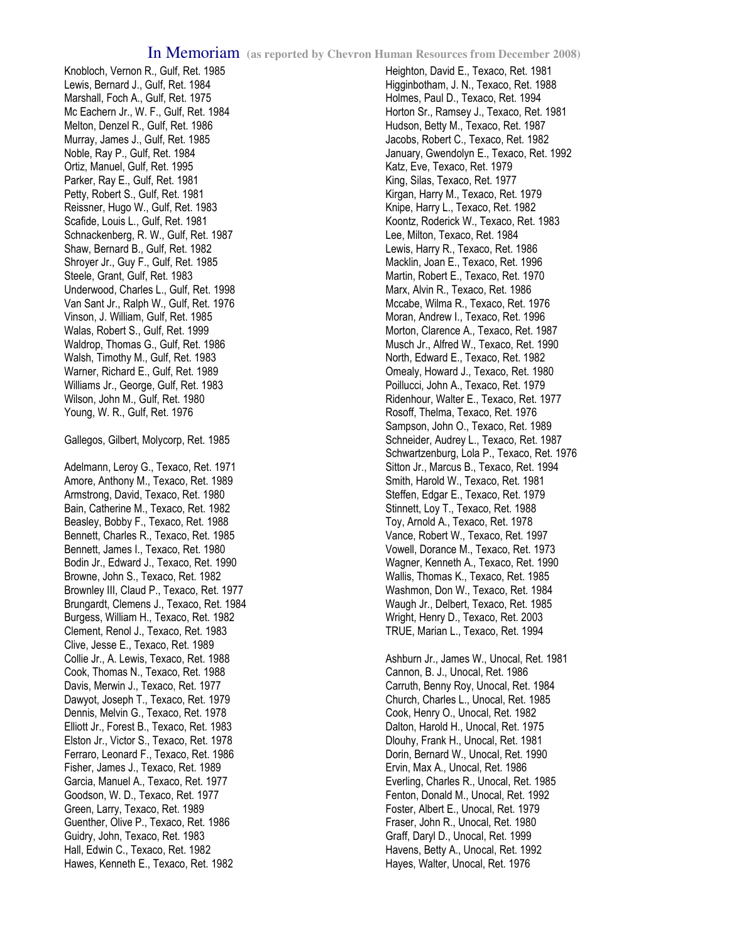Knobloch, Vernon R., Gulf, Ret. 1985 Lewis, Bernard J., Gulf, Ret. 1984 Marshall, Foch A., Gulf, Ret. 1975 Mc Eachern Jr., W. F., Gulf, Ret. 1984 Melton, Denzel R., Gulf, Ret. 1986 Murray, James J., Gulf, Ret. 1985 Noble, Ray P., Gulf, Ret. 1984 Ortiz, Manuel, Gulf, Ret. 1995 Parker, Ray E., Gulf, Ret. 1981 Petty, Robert S., Gulf, Ret. 1981 Reissner, Hugo W., Gulf, Ret. 1983 Scafide, Louis L., Gulf, Ret. 1981 Schnackenberg, R. W., Gulf, Ret. 1987 Shaw, Bernard B., Gulf, Ret. 1982 Shroyer Jr., Guy F., Gulf, Ret. 1985 Steele, Grant, Gulf, Ret. 1983 Underwood, Charles L., Gulf, Ret. 1998 Van Sant Jr., Ralph W., Gulf, Ret. 1976 Vinson, J. William, Gulf, Ret. 1985 Walas, Robert S., Gulf, Ret. 1999 Waldrop, Thomas G., Gulf, Ret. 1986 Walsh, Timothy M., Gulf, Ret. 1983 Warner, Richard E., Gulf, Ret. 1989 Williams Jr., George, Gulf, Ret. 1983 Wilson, John M., Gulf, Ret. 1980 Young, W. R., Gulf, Ret. 1976

Gallegos, Gilbert, Molycorp, Ret. 1985

Adelmann, Leroy G., Texaco, Ret. 1971 Amore, Anthony M., Texaco, Ret. 1989 Armstrong, David, Texaco, Ret. 1980 Bain, Catherine M., Texaco, Ret. 1982 Beasley, Bobby F., Texaco, Ret. 1988 Bennett, Charles R., Texaco, Ret. 1985 Bennett, James I., Texaco, Ret. 1980 Bodin Jr., Edward J., Texaco, Ret. 1990 Browne, John S., Texaco, Ret. 1982 Brownley III, Claud P., Texaco, Ret. 1977 Brungardt, Clemens J., Texaco, Ret. 1984 Burgess, William H., Texaco, Ret. 1982 Clement, Renol J., Texaco, Ret. 1983 Clive, Jesse E., Texaco, Ret. 1989 Collie Jr., A. Lewis, Texaco, Ret. 1988 Cook, Thomas N., Texaco, Ret. 1988 Davis, Merwin J., Texaco, Ret. 1977 Dawyot, Joseph T., Texaco, Ret. 1979 Dennis, Melvin G., Texaco, Ret. 1978 Elliott Jr., Forest B., Texaco, Ret. 1983 Elston Jr., Victor S., Texaco, Ret. 1978 Ferraro, Leonard F., Texaco, Ret. 1986 Fisher, James J., Texaco, Ret. 1989 Garcia, Manuel A., Texaco, Ret. 1977 Goodson, W. D., Texaco, Ret. 1977 Green, Larry, Texaco, Ret. 1989 Guenther, Olive P., Texaco, Ret. 1986 Guidry, John, Texaco, Ret. 1983 Hall, Edwin C., Texaco, Ret. 1982 Hawes, Kenneth E., Texaco, Ret. 1982

Heighton, David E., Texaco, Ret. 1981 Higginbotham, J. N., Texaco, Ret. 1988 Holmes, Paul D., Texaco, Ret. 1994 Horton Sr., Ramsey J., Texaco, Ret. 1981 Hudson, Betty M., Texaco, Ret. 1987 Jacobs, Robert C., Texaco, Ret. 1982 January, Gwendolyn E., Texaco, Ret. 1992 Katz, Eve, Texaco, Ret. 1979 King, Silas, Texaco, Ret. 1977 Kirgan, Harry M., Texaco, Ret. 1979 Knipe, Harry L., Texaco, Ret. 1982 Koontz, Roderick W., Texaco, Ret. 1983 Lee, Milton, Texaco, Ret. 1984 Lewis, Harry R., Texaco, Ret. 1986 Macklin, Joan E., Texaco, Ret. 1996 Martin, Robert E., Texaco, Ret. 1970 Marx, Alvin R., Texaco, Ret. 1986 Mccabe, Wilma R., Texaco, Ret. 1976 Moran, Andrew I., Texaco, Ret. 1996 Morton, Clarence A., Texaco, Ret. 1987 Musch Jr., Alfred W., Texaco, Ret. 1990 North, Edward E., Texaco, Ret. 1982 Omealy, Howard J., Texaco, Ret. 1980 Poillucci, John A., Texaco, Ret. 1979 Ridenhour, Walter E., Texaco, Ret. 1977 Rosoff, Thelma, Texaco, Ret. 1976 Sampson, John O., Texaco, Ret. 1989 Schneider, Audrey L., Texaco, Ret. 1987 Schwartzenburg, Lola P., Texaco, Ret. 1976 Sitton Jr., Marcus B., Texaco, Ret. 1994 Smith, Harold W., Texaco, Ret. 1981 Steffen, Edgar E., Texaco, Ret. 1979 Stinnett, Loy T., Texaco, Ret. 1988 Toy, Arnold A., Texaco, Ret. 1978 Vance, Robert W., Texaco, Ret. 1997 Vowell, Dorance M., Texaco, Ret. 1973 Wagner, Kenneth A., Texaco, Ret. 1990 Wallis, Thomas K., Texaco, Ret. 1985 Washmon, Don W., Texaco, Ret. 1984 Waugh Jr., Delbert, Texaco, Ret. 1985 Wright, Henry D., Texaco, Ret. 2003 TRUE, Marian L., Texaco, Ret. 1994

Ashburn Jr., James W., Unocal, Ret. 1981 Cannon, B. J., Unocal, Ret. 1986 Carruth, Benny Roy, Unocal, Ret. 1984 Church, Charles L., Unocal, Ret. 1985 Cook, Henry O., Unocal, Ret. 1982 Dalton, Harold H., Unocal, Ret. 1975 Dlouhy, Frank H., Unocal, Ret. 1981 Dorin, Bernard W., Unocal, Ret. 1990 Ervin, Max A., Unocal, Ret. 1986 Everling, Charles R., Unocal, Ret. 1985 Fenton, Donald M., Unocal, Ret. 1992 Foster, Albert E., Unocal, Ret. 1979 Fraser, John R., Unocal, Ret. 1980 Graff, Daryl D., Unocal, Ret. 1999 Havens, Betty A., Unocal, Ret. 1992 Hayes, Walter, Unocal, Ret. 1976